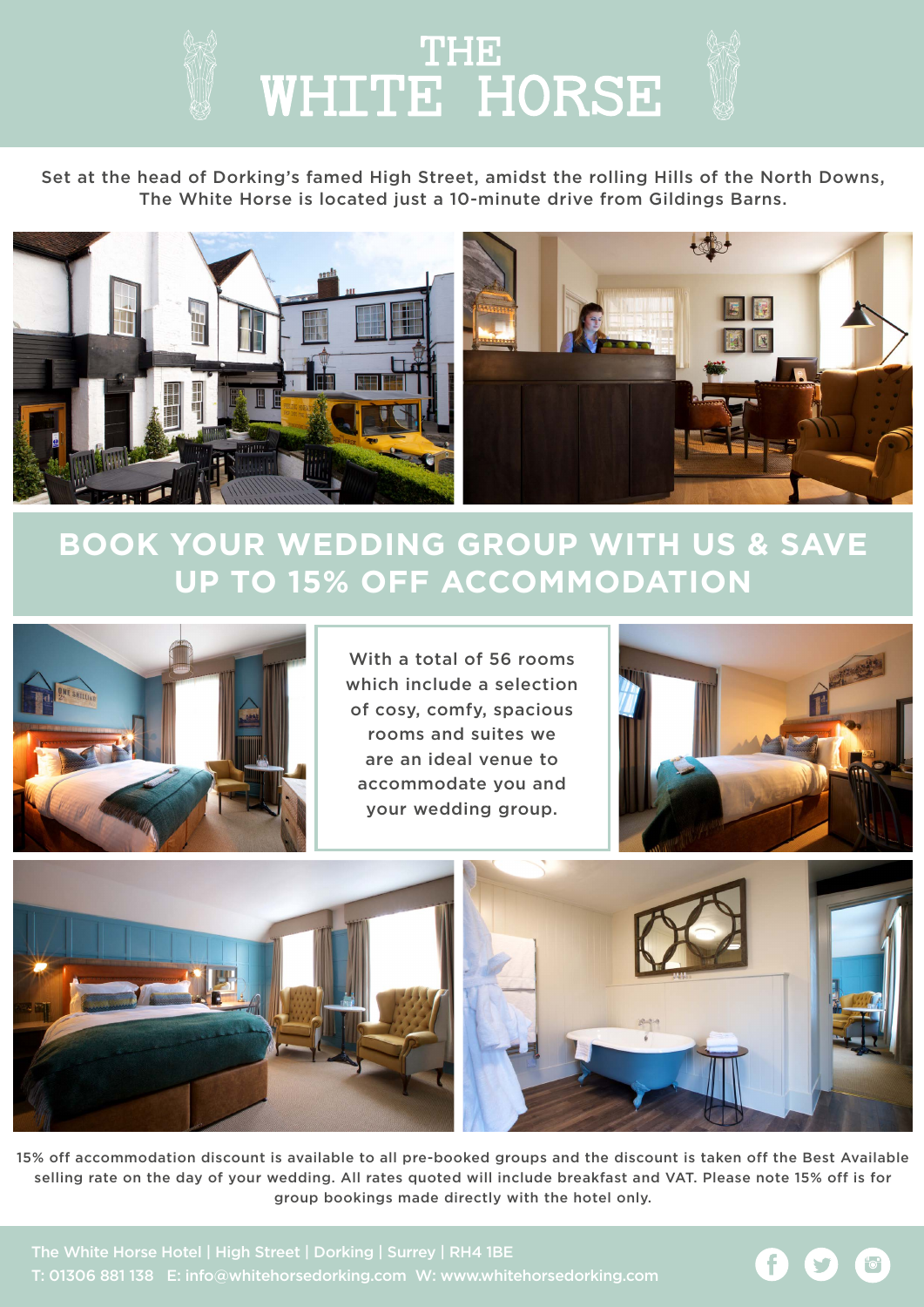

Set at the head of Dorking's famed High Street, amidst the rolling Hills of the North Downs, The White Horse is located just a 10-minute drive from Gildings Barns.



# **BOOK YOUR WEDDING GROUP WITH US & SAVE UP TO 15% OFF ACCOMMODATION**



With a total of 56 rooms which include a selection of cosy, comfy, spacious rooms and suites we are an ideal venue to accommodate you and your wedding group.





15% off accommodation discount is available to all pre-booked groups and the discount is taken off the Best Available selling rate on the day of your wedding. All rates quoted will include breakfast and VAT. Please note 15% off is for group bookings made directly with the hotel only.